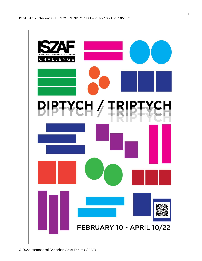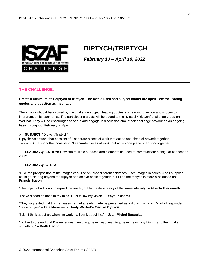

# **DIPTYCH/TRIPTYCH**

*February 10 – April 10, 2022*

# **THE CHALLENGE:**

**Create a minimum of 1 diptych or triptych. The media used and subject matter are open. Use the leading quotes and question as inspiration.** 

The artwork should be inspired by the challenge subject, leading quotes and leading question and is open to interpretation by each artist. The participating artists will be added to the "Diptych/Triptych" challenge group on WeChat. They will be encouraged to share and engage in discussion about their challenge artwork on an ongoing basis throughout February to April.

#### ➢ **SUBJECT:** "Diptych/Triptych"

Diptych: An artwork that consists of 2 separate pieces of work that act as one piece of artwork together. Triptych: An artwork that consists of 3 separate pieces of work that act as one piece of artwork together.

➢ **LEADING QUESTION:** How can multiple surfaces and elements be used to communicate a singular concept or idea?

#### ➢ **LEADING QUOTES:**

"I like the juxtaposition of the images captured on three different canvases. I see images in series. And I suppose I could go on long beyond the triptych and do five or six together, but I find the triptych is more a balanced unit." **– Francis Bacon**

"The object of art is not to reproduce reality, but to create a reality of the same intensity" **– Alberto Giacometti**

"I have a flood of ideas in my mind. I just follow my vision." **– Yayoi Kusama**

"They suggested that two canvases he had already made be presented as a diptych, to which Warhol responded, 'gee whiz yes" – **Tate Museum on Andy Warhol's** *Marilyn Diptych*

"I don't think about art when I'm working. I think about life." **– Jean-Michel Basquiat**

**"**I'd like to pretend that I've never seen anything, never read anything, never heard anything… and then make something." **– Keith Haring**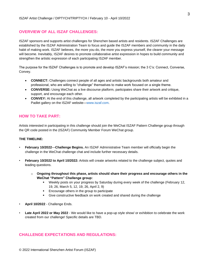## **OVERVIEW OF ALL ISZAF CHALLENGES:**

ISZAF sponsors and supports artist challenges for Shenzhen based artists and residents. ISZAF Challenges are established by the ISZAF Administration Team to focus and guide the ISZAF members and community in the daily habit of making work. ISZAF believes, the more you do, the more you express yourself, the clearer your message will become. Inevitably, ISZAF desires to promote collaborative artist expression in hopes to build community and strengthen the artistic expression of each participating ISZAF member.

The purpose for the ISZAF Challenges is to promote and develop ISZAF's mission; the 3 C's: Connect, Converse, Convey.

- **CONNECT:** Challenges connect people of all ages and artistic backgrounds both amateur and professional, who are willing to "challenge" themselves to make work focused on a single theme.
- **CONVERSE:** Using WeChat as a live discourse platform, participates share their artwork and critique, support, and encourage each other.
- **CONVEY:** At the end of this challenge, all artwork completed by the participating artists will be exhibited in a Padlet gallery on the ISZAF website—www.iszaf.com.

## **HOW TO TAKE PART:**

Artists interested in participating in this challenge should join the WeChat ISZAF Pattern Challenge group through the QR code posted in the (ISZAF) Community Member Forum WeChat group.

#### **THE TIMELINE:**

- **February 10/2022**—**Challenge Begins.** An ISZAF Administrative Team member will officially begin the challenge in the WeChat challenge chat and include further necessary details.
- **February 10/2022 to April 10/2022:** Artists will create artworks related to the challenge subject, quotes and leading questions.
	- o **Ongoing throughout this phase, artists should share their progress and encourage others in the WeChat "Pattern" Challenge group:**
		- Weekly posts on your progress by Saturday during every week of the challenge (February 12, 19, 26, March 5, 12, 19, 26, April 2, 9)
		- Encourage others in the group to participate
		- Give constructive feedback on work created and shared during the challenge
- **April 10/2022** Challenge Ends.
- **Late April 2022 or May 2022** We would like to have a pop-up style show/ or exhibition to celebrate the work created from our challenge! Specific details are TBD.

## **CHALLENGE EXPECTATIONS AND REGULATIONS:**